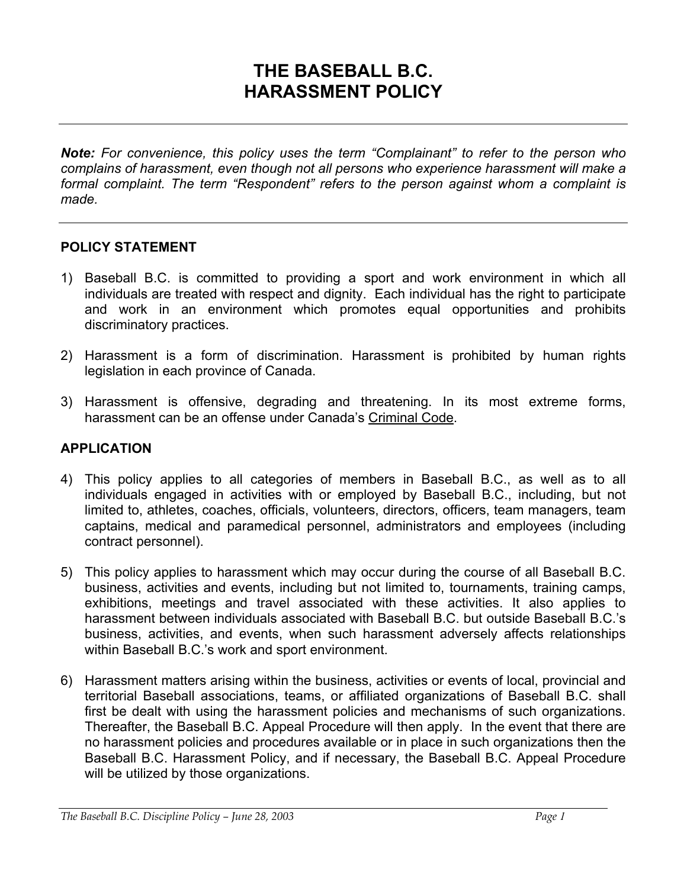# **THE BASEBALL B.C. HARASSMENT POLICY**

*Note: For convenience, this policy uses the term "Complainant" to refer to the person who complains of harassment, even though not all persons who experience harassment will make a formal complaint. The term "Respondent" refers to the person against whom a complaint is made.* 

#### **POLICY STATEMENT**

- 1) Baseball B.C. is committed to providing a sport and work environment in which all individuals are treated with respect and dignity. Each individual has the right to participate and work in an environment which promotes equal opportunities and prohibits discriminatory practices.
- 2) Harassment is a form of discrimination. Harassment is prohibited by human rights legislation in each province of Canada.
- 3) Harassment is offensive, degrading and threatening. In its most extreme forms, harassment can be an offense under Canada's Criminal Code.

#### **APPLICATION**

- 4) This policy applies to all categories of members in Baseball B.C., as well as to all individuals engaged in activities with or employed by Baseball B.C., including, but not limited to, athletes, coaches, officials, volunteers, directors, officers, team managers, team captains, medical and paramedical personnel, administrators and employees (including contract personnel).
- 5) This policy applies to harassment which may occur during the course of all Baseball B.C. business, activities and events, including but not limited to, tournaments, training camps, exhibitions, meetings and travel associated with these activities. It also applies to harassment between individuals associated with Baseball B.C. but outside Baseball B.C.'s business, activities, and events, when such harassment adversely affects relationships within Baseball B.C.'s work and sport environment.
- 6) Harassment matters arising within the business, activities or events of local, provincial and territorial Baseball associations, teams, or affiliated organizations of Baseball B.C. shall first be dealt with using the harassment policies and mechanisms of such organizations. Thereafter, the Baseball B.C. Appeal Procedure will then apply. In the event that there are no harassment policies and procedures available or in place in such organizations then the Baseball B.C. Harassment Policy, and if necessary, the Baseball B.C. Appeal Procedure will be utilized by those organizations.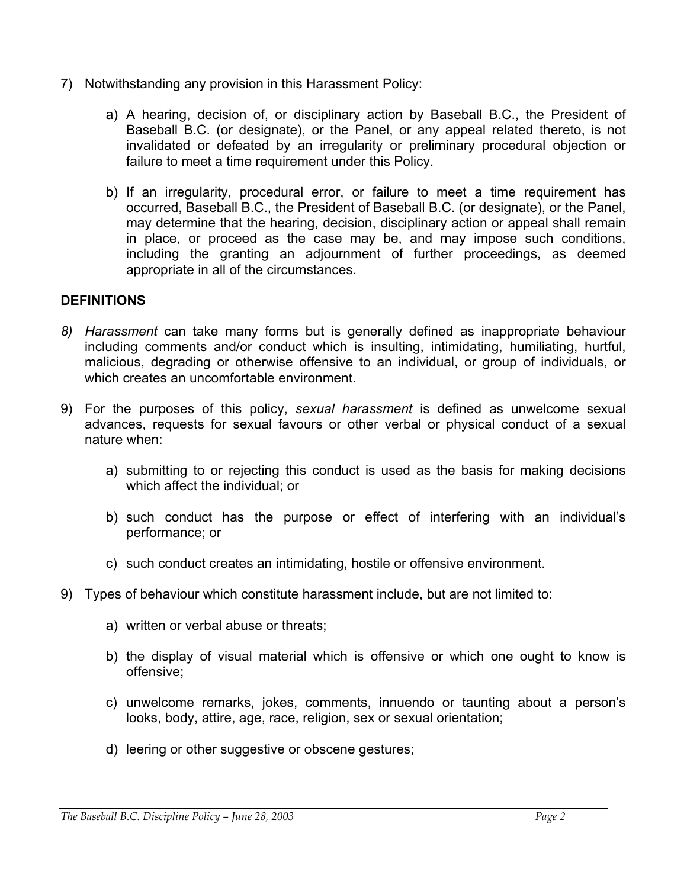- 7) Notwithstanding any provision in this Harassment Policy:
	- a) A hearing, decision of, or disciplinary action by Baseball B.C., the President of Baseball B.C. (or designate), or the Panel, or any appeal related thereto, is not invalidated or defeated by an irregularity or preliminary procedural objection or failure to meet a time requirement under this Policy.
	- b) If an irregularity, procedural error, or failure to meet a time requirement has occurred, Baseball B.C., the President of Baseball B.C. (or designate), or the Panel, may determine that the hearing, decision, disciplinary action or appeal shall remain in place, or proceed as the case may be, and may impose such conditions, including the granting an adjournment of further proceedings, as deemed appropriate in all of the circumstances.

## **DEFINITIONS**

- *8) Harassment* can take many forms but is generally defined as inappropriate behaviour including comments and/or conduct which is insulting, intimidating, humiliating, hurtful, malicious, degrading or otherwise offensive to an individual, or group of individuals, or which creates an uncomfortable environment.
- 9) For the purposes of this policy, *sexual harassment* is defined as unwelcome sexual advances, requests for sexual favours or other verbal or physical conduct of a sexual nature when:
	- a) submitting to or rejecting this conduct is used as the basis for making decisions which affect the individual; or
	- b) such conduct has the purpose or effect of interfering with an individual's performance; or
	- c) such conduct creates an intimidating, hostile or offensive environment.
- 9) Types of behaviour which constitute harassment include, but are not limited to:
	- a) written or verbal abuse or threats;
	- b) the display of visual material which is offensive or which one ought to know is offensive;
	- c) unwelcome remarks, jokes, comments, innuendo or taunting about a person's looks, body, attire, age, race, religion, sex or sexual orientation;
	- d) leering or other suggestive or obscene gestures;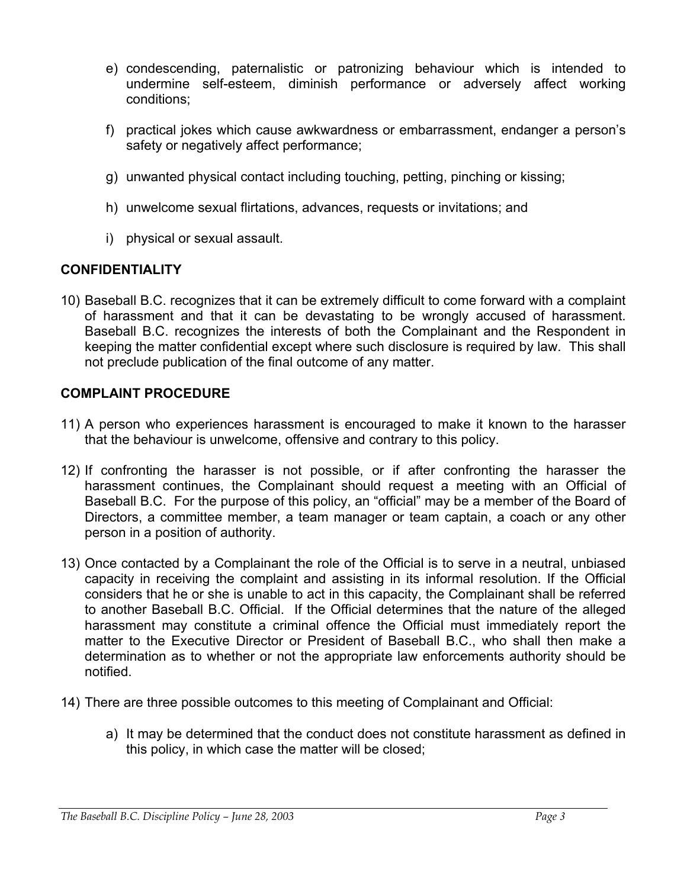- e) condescending, paternalistic or patronizing behaviour which is intended to undermine self-esteem, diminish performance or adversely affect working conditions;
- f) practical jokes which cause awkwardness or embarrassment, endanger a person's safety or negatively affect performance;
- g) unwanted physical contact including touching, petting, pinching or kissing;
- h) unwelcome sexual flirtations, advances, requests or invitations; and
- i) physical or sexual assault.

# **CONFIDENTIALITY**

10) Baseball B.C. recognizes that it can be extremely difficult to come forward with a complaint of harassment and that it can be devastating to be wrongly accused of harassment. Baseball B.C. recognizes the interests of both the Complainant and the Respondent in keeping the matter confidential except where such disclosure is required by law. This shall not preclude publication of the final outcome of any matter.

## **COMPLAINT PROCEDURE**

- 11) A person who experiences harassment is encouraged to make it known to the harasser that the behaviour is unwelcome, offensive and contrary to this policy.
- 12) If confronting the harasser is not possible, or if after confronting the harasser the harassment continues, the Complainant should request a meeting with an Official of Baseball B.C. For the purpose of this policy, an "official" may be a member of the Board of Directors, a committee member, a team manager or team captain, a coach or any other person in a position of authority.
- 13) Once contacted by a Complainant the role of the Official is to serve in a neutral, unbiased capacity in receiving the complaint and assisting in its informal resolution. If the Official considers that he or she is unable to act in this capacity, the Complainant shall be referred to another Baseball B.C. Official. If the Official determines that the nature of the alleged harassment may constitute a criminal offence the Official must immediately report the matter to the Executive Director or President of Baseball B.C., who shall then make a determination as to whether or not the appropriate law enforcements authority should be notified.
- 14) There are three possible outcomes to this meeting of Complainant and Official:
	- a) It may be determined that the conduct does not constitute harassment as defined in this policy, in which case the matter will be closed;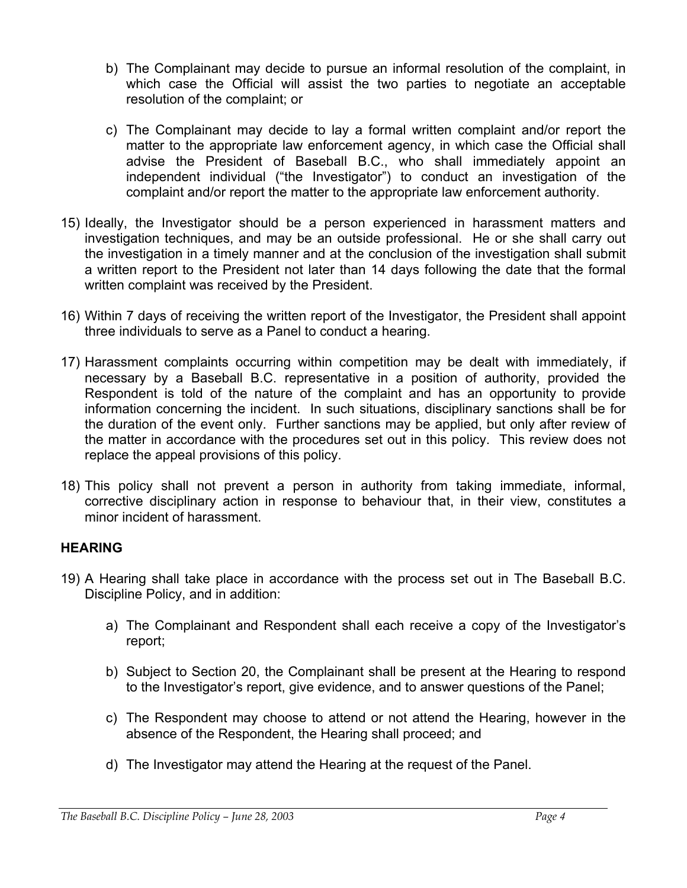- b) The Complainant may decide to pursue an informal resolution of the complaint, in which case the Official will assist the two parties to negotiate an acceptable resolution of the complaint; or
- c) The Complainant may decide to lay a formal written complaint and/or report the matter to the appropriate law enforcement agency, in which case the Official shall advise the President of Baseball B.C., who shall immediately appoint an independent individual ("the Investigator") to conduct an investigation of the complaint and/or report the matter to the appropriate law enforcement authority.
- 15) Ideally, the Investigator should be a person experienced in harassment matters and investigation techniques, and may be an outside professional. He or she shall carry out the investigation in a timely manner and at the conclusion of the investigation shall submit a written report to the President not later than 14 days following the date that the formal written complaint was received by the President.
- 16) Within 7 days of receiving the written report of the Investigator, the President shall appoint three individuals to serve as a Panel to conduct a hearing.
- 17) Harassment complaints occurring within competition may be dealt with immediately, if necessary by a Baseball B.C. representative in a position of authority, provided the Respondent is told of the nature of the complaint and has an opportunity to provide information concerning the incident. In such situations, disciplinary sanctions shall be for the duration of the event only. Further sanctions may be applied, but only after review of the matter in accordance with the procedures set out in this policy. This review does not replace the appeal provisions of this policy.
- 18) This policy shall not prevent a person in authority from taking immediate, informal, corrective disciplinary action in response to behaviour that, in their view, constitutes a minor incident of harassment.

# **HEARING**

- 19) A Hearing shall take place in accordance with the process set out in The Baseball B.C. Discipline Policy, and in addition:
	- a) The Complainant and Respondent shall each receive a copy of the Investigator's report;
	- b) Subject to Section 20, the Complainant shall be present at the Hearing to respond to the Investigator's report, give evidence, and to answer questions of the Panel;
	- c) The Respondent may choose to attend or not attend the Hearing, however in the absence of the Respondent, the Hearing shall proceed; and
	- d) The Investigator may attend the Hearing at the request of the Panel.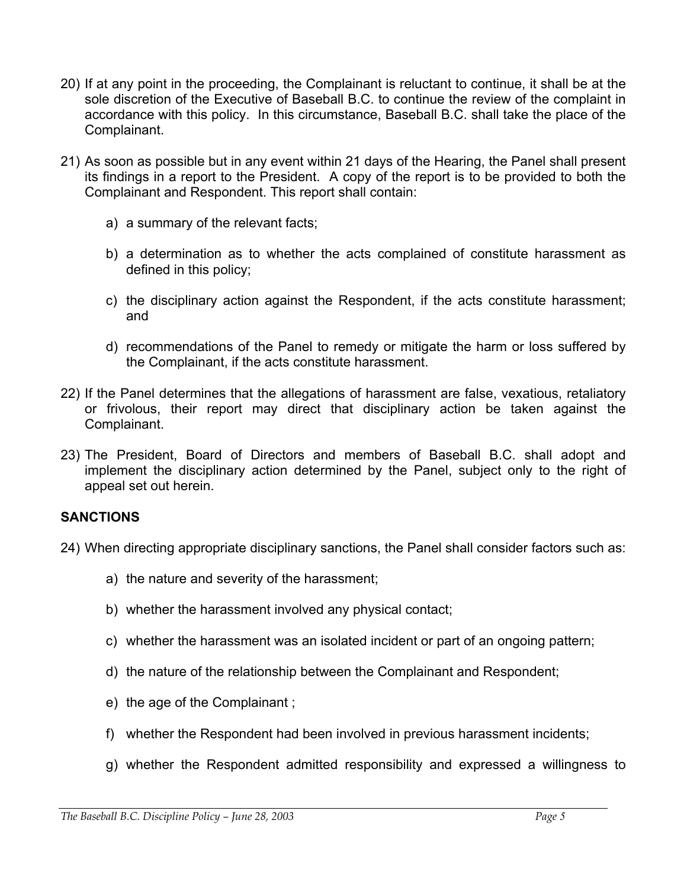- 20) If at any point in the proceeding, the Complainant is reluctant to continue, it shall be at the sole discretion of the Executive of Baseball B.C. to continue the review of the complaint in accordance with this policy. In this circumstance, Baseball B.C. shall take the place of the Complainant.
- 21) As soon as possible but in any event within 21 days of the Hearing, the Panel shall present its findings in a report to the President. A copy of the report is to be provided to both the Complainant and Respondent. This report shall contain:
	- a) a summary of the relevant facts;
	- b) a determination as to whether the acts complained of constitute harassment as defined in this policy;
	- c) the disciplinary action against the Respondent, if the acts constitute harassment; and
	- d) recommendations of the Panel to remedy or mitigate the harm or loss suffered by the Complainant, if the acts constitute harassment.
- 22) If the Panel determines that the allegations of harassment are false, vexatious, retaliatory or frivolous, their report may direct that disciplinary action be taken against the Complainant.
- 23) The President, Board of Directors and members of Baseball B.C. shall adopt and implement the disciplinary action determined by the Panel, subject only to the right of appeal set out herein.

#### **SANCTIONS**

- 24) When directing appropriate disciplinary sanctions, the Panel shall consider factors such as:
	- a) the nature and severity of the harassment;
	- b) whether the harassment involved any physical contact;
	- c) whether the harassment was an isolated incident or part of an ongoing pattern;
	- d) the nature of the relationship between the Complainant and Respondent;
	- e) the age of the Complainant ;
	- f) whether the Respondent had been involved in previous harassment incidents;
	- g) whether the Respondent admitted responsibility and expressed a willingness to